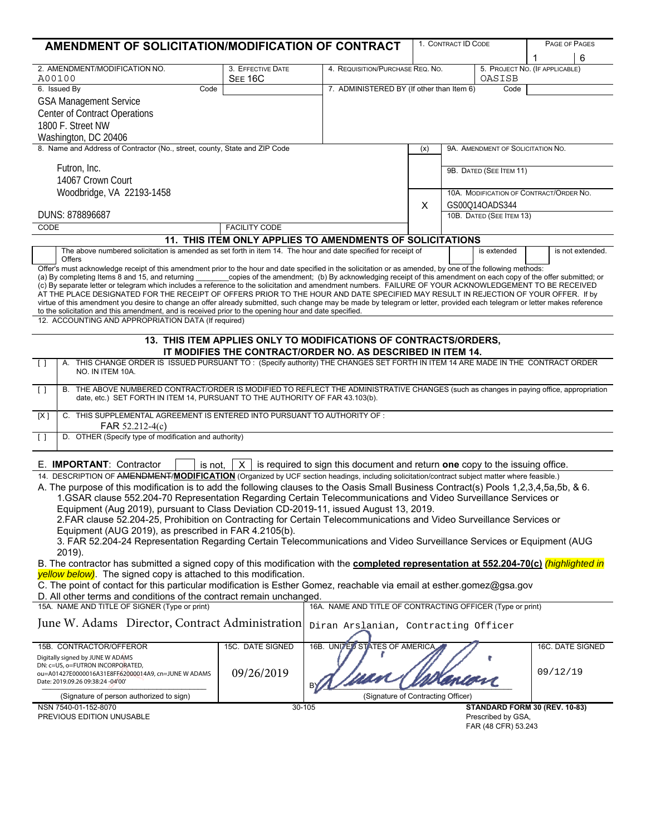| AMENDMENT OF SOLICITATION/MODIFICATION OF CONTRACT                                                                                                                                                                                                                                                                             |                      |                                                             |                                                   | 1. CONTRACT ID CODE      |                                                     | PAGE OF PAGES    |                  |
|--------------------------------------------------------------------------------------------------------------------------------------------------------------------------------------------------------------------------------------------------------------------------------------------------------------------------------|----------------------|-------------------------------------------------------------|---------------------------------------------------|--------------------------|-----------------------------------------------------|------------------|------------------|
|                                                                                                                                                                                                                                                                                                                                |                      |                                                             |                                                   |                          |                                                     | 1                | 6                |
| 2. AMENDMENT/MODIFICATION NO.<br>A00100                                                                                                                                                                                                                                                                                        | 3. EFFECTIVE DATE    | 4. REQUISITION/PURCHASE REQ. NO.                            |                                                   |                          | 5. PROJECT NO. (IF APPLICABLE)<br>OASISB            |                  |                  |
| 6. Issued By<br>Code                                                                                                                                                                                                                                                                                                           | <b>SEE 16C</b>       |                                                             | 7. ADMINISTERED BY (If other than Item 6)<br>Code |                          |                                                     |                  |                  |
| <b>GSA Management Service</b>                                                                                                                                                                                                                                                                                                  |                      |                                                             |                                                   |                          |                                                     |                  |                  |
| <b>Center of Contract Operations</b>                                                                                                                                                                                                                                                                                           |                      |                                                             |                                                   |                          |                                                     |                  |                  |
| 1800 F. Street NW                                                                                                                                                                                                                                                                                                              |                      |                                                             |                                                   |                          |                                                     |                  |                  |
| Washington, DC 20406                                                                                                                                                                                                                                                                                                           |                      |                                                             |                                                   |                          |                                                     |                  |                  |
| 8. Name and Address of Contractor (No., street, county, State and ZIP Code                                                                                                                                                                                                                                                     |                      |                                                             | (x)                                               |                          | 9A. AMENDMENT OF SOLICITATION NO.                   |                  |                  |
|                                                                                                                                                                                                                                                                                                                                |                      |                                                             |                                                   |                          |                                                     |                  |                  |
| Futron, Inc.                                                                                                                                                                                                                                                                                                                   |                      |                                                             |                                                   |                          | 9B. DATED (SEE ITEM 11)                             |                  |                  |
| 14067 Crown Court                                                                                                                                                                                                                                                                                                              |                      |                                                             |                                                   |                          |                                                     |                  |                  |
| Woodbridge, VA 22193-1458                                                                                                                                                                                                                                                                                                      |                      |                                                             |                                                   |                          | 10A. MODIFICATION OF CONTRACT/ORDER NO.             |                  |                  |
|                                                                                                                                                                                                                                                                                                                                |                      |                                                             |                                                   | GS00Q14OADS344           |                                                     |                  |                  |
| DUNS: 878896687                                                                                                                                                                                                                                                                                                                |                      |                                                             |                                                   | 10B. DATED (SEE ITEM 13) |                                                     |                  |                  |
| CODE                                                                                                                                                                                                                                                                                                                           | <b>FACILITY CODE</b> |                                                             |                                                   |                          |                                                     |                  |                  |
|                                                                                                                                                                                                                                                                                                                                |                      | 11. THIS ITEM ONLY APPLIES TO AMENDMENTS OF SOLICITATIONS   |                                                   |                          |                                                     |                  |                  |
| The above numbered solicitation is amended as set forth in item 14. The hour and date specified for receipt of                                                                                                                                                                                                                 |                      |                                                             |                                                   |                          | is extended                                         |                  | is not extended. |
| Offers                                                                                                                                                                                                                                                                                                                         |                      |                                                             |                                                   |                          |                                                     |                  |                  |
| Offer's must acknowledge receipt of this amendment prior to the hour and date specified in the solicitation or as amended, by one of the following methods:<br>(a) By completing Items 8 and 15, and returning copies of the amendment; (b) By acknowledging receipt of this amendment on each copy of the offer submitted; or |                      |                                                             |                                                   |                          |                                                     |                  |                  |
| (c) By separate letter or telegram which includes a reference to the solicitation and amendment numbers. FAILURE OF YOUR ACKNOWLEDGEMENT TO BE RECEIVED                                                                                                                                                                        |                      |                                                             |                                                   |                          |                                                     |                  |                  |
| AT THE PLACE DESIGNATED FOR THE RECEIPT OF OFFERS PRIOR TO THE HOUR AND DATE SPECIFIED MAY RESULT IN REJECTION OF YOUR OFFER. If by                                                                                                                                                                                            |                      |                                                             |                                                   |                          |                                                     |                  |                  |
| virtue of this amendment you desire to change an offer already submitted, such change may be made by telegram or letter, provided each telegram or letter makes reference<br>to the solicitation and this amendment, and is received prior to the opening hour and date specified.                                             |                      |                                                             |                                                   |                          |                                                     |                  |                  |
| 12. ACCOUNTING AND APPROPRIATION DATA (If required)                                                                                                                                                                                                                                                                            |                      |                                                             |                                                   |                          |                                                     |                  |                  |
|                                                                                                                                                                                                                                                                                                                                |                      |                                                             |                                                   |                          |                                                     |                  |                  |
| 13. THIS ITEM APPLIES ONLY TO MODIFICATIONS OF CONTRACTS/ORDERS,                                                                                                                                                                                                                                                               |                      |                                                             |                                                   |                          |                                                     |                  |                  |
|                                                                                                                                                                                                                                                                                                                                |                      | IT MODIFIES THE CONTRACT/ORDER NO. AS DESCRIBED IN ITEM 14. |                                                   |                          |                                                     |                  |                  |
| A. THIS CHANGE ORDER IS ISSUED PURSUANT TO: (Specify authority) THE CHANGES SET FORTH IN ITEM 14 ARE MADE IN THE CONTRACT ORDER<br>$\lceil$ $\rceil$<br>NO. IN ITEM 10A.                                                                                                                                                       |                      |                                                             |                                                   |                          |                                                     |                  |                  |
|                                                                                                                                                                                                                                                                                                                                |                      |                                                             |                                                   |                          |                                                     |                  |                  |
| B. THE ABOVE NUMBERED CONTRACT/ORDER IS MODIFIED TO REFLECT THE ADMINISTRATIVE CHANGES (such as changes in paying office, appropriation<br>$\lceil$                                                                                                                                                                            |                      |                                                             |                                                   |                          |                                                     |                  |                  |
| date, etc.) SET FORTH IN ITEM 14, PURSUANT TO THE AUTHORITY OF FAR 43.103(b).                                                                                                                                                                                                                                                  |                      |                                                             |                                                   |                          |                                                     |                  |                  |
| C. THIS SUPPLEMENTAL AGREEMENT IS ENTERED INTO PURSUANT TO AUTHORITY OF :<br>[X]                                                                                                                                                                                                                                               |                      |                                                             |                                                   |                          |                                                     |                  |                  |
| FAR 52.212-4(c)                                                                                                                                                                                                                                                                                                                |                      |                                                             |                                                   |                          |                                                     |                  |                  |
| D. OTHER (Specify type of modification and authority)<br>$\Box$                                                                                                                                                                                                                                                                |                      |                                                             |                                                   |                          |                                                     |                  |                  |
|                                                                                                                                                                                                                                                                                                                                |                      |                                                             |                                                   |                          |                                                     |                  |                  |
| E. <b>IMPORTANT:</b> Contractor<br>is not,<br>$X$ is required to sign this document and return one copy to the issuing office.                                                                                                                                                                                                 |                      |                                                             |                                                   |                          |                                                     |                  |                  |
| 14. DESCRIPTION OF AMENDMENT/MODIFICATION (Organized by UCF section headings, including solicitation/contract subject matter where feasible.)                                                                                                                                                                                  |                      |                                                             |                                                   |                          |                                                     |                  |                  |
| A. The purpose of this modification is to add the following clauses to the Oasis Small Business Contract(s) Pools 1,2,3,4,5a,5b, & 6.                                                                                                                                                                                          |                      |                                                             |                                                   |                          |                                                     |                  |                  |
| 1.GSAR clause 552.204-70 Representation Regarding Certain Telecommunications and Video Surveillance Services or                                                                                                                                                                                                                |                      |                                                             |                                                   |                          |                                                     |                  |                  |
| Equipment (Aug 2019), pursuant to Class Deviation CD-2019-11, issued August 13, 2019.                                                                                                                                                                                                                                          |                      |                                                             |                                                   |                          |                                                     |                  |                  |
| 2.FAR clause 52.204-25, Prohibition on Contracting for Certain Telecommunications and Video Surveillance Services or                                                                                                                                                                                                           |                      |                                                             |                                                   |                          |                                                     |                  |                  |
| Equipment (AUG 2019), as prescribed in FAR 4.2105(b).                                                                                                                                                                                                                                                                          |                      |                                                             |                                                   |                          |                                                     |                  |                  |
| 3. FAR 52.204-24 Representation Regarding Certain Telecommunications and Video Surveillance Services or Equipment (AUG                                                                                                                                                                                                         |                      |                                                             |                                                   |                          |                                                     |                  |                  |
| 2019).<br>B. The contractor has submitted a signed copy of this modification with the <b>completed representation at 552.204-70(c)</b> (highlighted in                                                                                                                                                                         |                      |                                                             |                                                   |                          |                                                     |                  |                  |
| yellow below). The signed copy is attached to this modification.                                                                                                                                                                                                                                                               |                      |                                                             |                                                   |                          |                                                     |                  |                  |
| C. The point of contact for this particular modification is Esther Gomez, reachable via email at esther.gomez@gsa.gov                                                                                                                                                                                                          |                      |                                                             |                                                   |                          |                                                     |                  |                  |
| D. All other terms and conditions of the contract remain unchanged.                                                                                                                                                                                                                                                            |                      |                                                             |                                                   |                          |                                                     |                  |                  |
| 15A. NAME AND TITLE OF SIGNER (Type or print)                                                                                                                                                                                                                                                                                  |                      | 16A. NAME AND TITLE OF CONTRACTING OFFICER (Type or print)  |                                                   |                          |                                                     |                  |                  |
|                                                                                                                                                                                                                                                                                                                                |                      |                                                             |                                                   |                          |                                                     |                  |                  |
| June W. Adams Director, Contract Administration                                                                                                                                                                                                                                                                                |                      | Diran Arslanian, Contracting Officer                        |                                                   |                          |                                                     |                  |                  |
| 15B. CONTRACTOR/OFFEROR                                                                                                                                                                                                                                                                                                        | 15C. DATE SIGNED     | 16B. UNITED STATES OF AMERICA                               |                                                   |                          |                                                     |                  |                  |
| Digitally signed by JUNE W ADAMS                                                                                                                                                                                                                                                                                               |                      |                                                             |                                                   |                          |                                                     | 16C. DATE SIGNED |                  |
| DN: c=US, o=FUTRON INCORPORATED,                                                                                                                                                                                                                                                                                               |                      |                                                             |                                                   |                          |                                                     |                  |                  |
| ou=A01427E0000016A31E8FF62000014A9, cn=JUNE W ADAMS                                                                                                                                                                                                                                                                            | 09/26/2019           |                                                             |                                                   |                          |                                                     | 09/12/19         |                  |
| Date: 2019.09.26 09:38:24 -04'00'                                                                                                                                                                                                                                                                                              |                      |                                                             |                                                   |                          |                                                     |                  |                  |
| (Signature of person authorized to sign)                                                                                                                                                                                                                                                                                       |                      | (Signature of Contracting Officer)                          |                                                   |                          |                                                     |                  |                  |
| NSN 7540-01-152-8070<br>PREVIOUS EDITION UNUSABLE                                                                                                                                                                                                                                                                              |                      | 30-105                                                      |                                                   |                          | STANDARD FORM 30 (REV. 10-83)<br>Prescribed by GSA, |                  |                  |
|                                                                                                                                                                                                                                                                                                                                |                      |                                                             |                                                   |                          | FAR (48 CFR) 53.243                                 |                  |                  |
|                                                                                                                                                                                                                                                                                                                                |                      |                                                             |                                                   |                          |                                                     |                  |                  |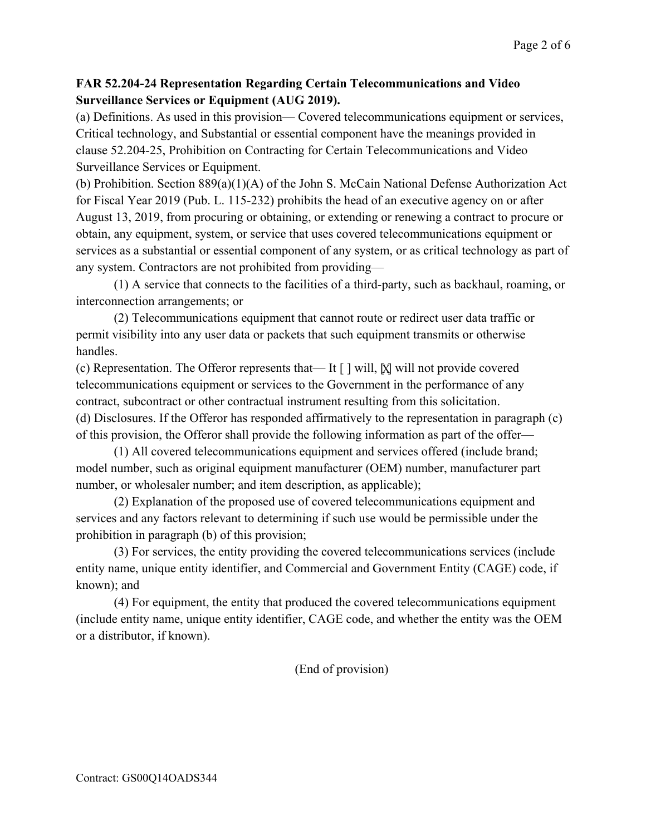## **FAR 52.204-24 Representation Regarding Certain Telecommunications and Video Surveillance Services or Equipment (AUG 2019).**

(a) Definitions. As used in this provision— Covered telecommunications equipment or services, Critical technology, and Substantial or essential component have the meanings provided in clause 52.204-25, Prohibition on Contracting for Certain Telecommunications and Video Surveillance Services or Equipment.

(b) Prohibition. Section 889(a)(1)(A) of the John S. McCain National Defense Authorization Act for Fiscal Year 2019 (Pub. L. 115-232) prohibits the head of an executive agency on or after August 13, 2019, from procuring or obtaining, or extending or renewing a contract to procure or obtain, any equipment, system, or service that uses covered telecommunications equipment or services as a substantial or essential component of any system, or as critical technology as part of any system. Contractors are not prohibited from providing—

(1) A service that connects to the facilities of a third-party, such as backhaul, roaming, or interconnection arrangements; or

(2) Telecommunications equipment that cannot route or redirect user data traffic or permit visibility into any user data or packets that such equipment transmits or otherwise handles.

(c) Representation. The Offeror represents that— It [ ] will,  $\boxtimes$  will not provide covered telecommunications equipment or services to the Government in the performance of any contract, subcontract or other contractual instrument resulting from this solicitation. (d) Disclosures. If the Offeror has responded affirmatively to the representation in paragraph (c) of this provision, the Offeror shall provide the following information as part of the offer—

(1) All covered telecommunications equipment and services offered (include brand; model number, such as original equipment manufacturer (OEM) number, manufacturer part number, or wholesaler number; and item description, as applicable);

(2) Explanation of the proposed use of covered telecommunications equipment and services and any factors relevant to determining if such use would be permissible under the prohibition in paragraph (b) of this provision;

(3) For services, the entity providing the covered telecommunications services (include entity name, unique entity identifier, and Commercial and Government Entity (CAGE) code, if known); and

(4) For equipment, the entity that produced the covered telecommunications equipment (include entity name, unique entity identifier, CAGE code, and whether the entity was the OEM or a distributor, if known).

(End of provision)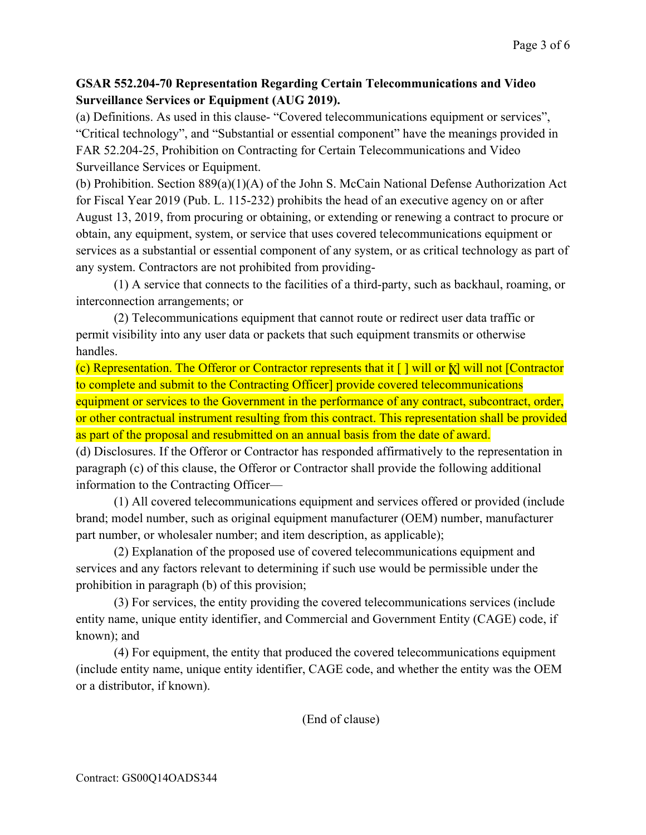## **GSAR 552.204-70 Representation Regarding Certain Telecommunications and Video Surveillance Services or Equipment (AUG 2019).**

(a) Definitions. As used in this clause- "Covered telecommunications equipment or services", "Critical technology", and "Substantial or essential component" have the meanings provided in FAR 52.204-25, Prohibition on Contracting for Certain Telecommunications and Video Surveillance Services or Equipment.

(b) Prohibition. Section 889(a)(1)(A) of the John S. McCain National Defense Authorization Act for Fiscal Year 2019 (Pub. L. 115-232) prohibits the head of an executive agency on or after August 13, 2019, from procuring or obtaining, or extending or renewing a contract to procure or obtain, any equipment, system, or service that uses covered telecommunications equipment or services as a substantial or essential component of any system, or as critical technology as part of any system. Contractors are not prohibited from providing-

(1) A service that connects to the facilities of a third-party, such as backhaul, roaming, or interconnection arrangements; or

(2) Telecommunications equipment that cannot route or redirect user data traffic or permit visibility into any user data or packets that such equipment transmits or otherwise handles.

(c) Representation. The Offeror or Contractor represents that it [ ] will or  $\lbrack \chi \rbrack$  will not [Contractor to complete and submit to the Contracting Officer] provide covered telecommunications equipment or services to the Government in the performance of any contract, subcontract, order, or other contractual instrument resulting from this contract. This representation shall be provided as part of the proposal and resubmitted on an annual basis from the date of award.

(d) Disclosures. If the Offeror or Contractor has responded affirmatively to the representation in paragraph (c) of this clause, the Offeror or Contractor shall provide the following additional information to the Contracting Officer—

(1) All covered telecommunications equipment and services offered or provided (include brand; model number, such as original equipment manufacturer (OEM) number, manufacturer part number, or wholesaler number; and item description, as applicable);

(2) Explanation of the proposed use of covered telecommunications equipment and services and any factors relevant to determining if such use would be permissible under the prohibition in paragraph (b) of this provision;

(3) For services, the entity providing the covered telecommunications services (include entity name, unique entity identifier, and Commercial and Government Entity (CAGE) code, if known); and

(4) For equipment, the entity that produced the covered telecommunications equipment (include entity name, unique entity identifier, CAGE code, and whether the entity was the OEM or a distributor, if known).

(End of clause)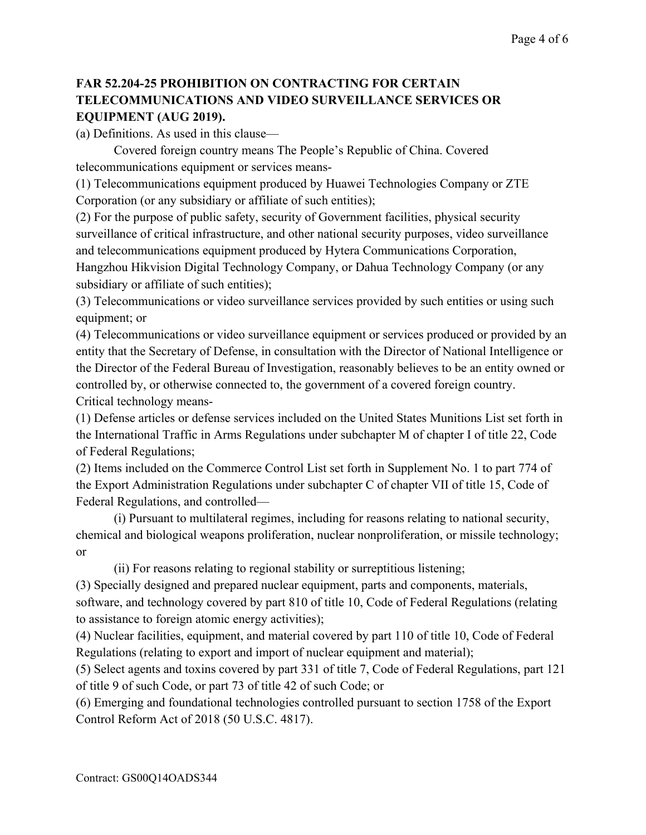## **FAR 52.204-25 PROHIBITION ON CONTRACTING FOR CERTAIN TELECOMMUNICATIONS AND VIDEO SURVEILLANCE SERVICES OR EQUIPMENT (AUG 2019).**

(a) Definitions. As used in this clause—

Covered foreign country means The People's Republic of China. Covered telecommunications equipment or services means-

(1) Telecommunications equipment produced by Huawei Technologies Company or ZTE Corporation (or any subsidiary or affiliate of such entities);

(2) For the purpose of public safety, security of Government facilities, physical security surveillance of critical infrastructure, and other national security purposes, video surveillance and telecommunications equipment produced by Hytera Communications Corporation, Hangzhou Hikvision Digital Technology Company, or Dahua Technology Company (or any subsidiary or affiliate of such entities);

(3) Telecommunications or video surveillance services provided by such entities or using such equipment; or

(4) Telecommunications or video surveillance equipment or services produced or provided by an entity that the Secretary of Defense, in consultation with the Director of National Intelligence or the Director of the Federal Bureau of Investigation, reasonably believes to be an entity owned or controlled by, or otherwise connected to, the government of a covered foreign country. Critical technology means-

(1) Defense articles or defense services included on the United States Munitions List set forth in the International Traffic in Arms Regulations under subchapter M of chapter I of title 22, Code of Federal Regulations;

(2) Items included on the Commerce Control List set forth in Supplement No. 1 to part 774 of the Export Administration Regulations under subchapter C of chapter VII of title 15, Code of Federal Regulations, and controlled—

(i) Pursuant to multilateral regimes, including for reasons relating to national security, chemical and biological weapons proliferation, nuclear nonproliferation, or missile technology; or

(ii) For reasons relating to regional stability or surreptitious listening;

(3) Specially designed and prepared nuclear equipment, parts and components, materials, software, and technology covered by part 810 of title 10, Code of Federal Regulations (relating to assistance to foreign atomic energy activities);

(4) Nuclear facilities, equipment, and material covered by part 110 of title 10, Code of Federal Regulations (relating to export and import of nuclear equipment and material);

(5) Select agents and toxins covered by part 331 of title 7, Code of Federal Regulations, part 121 of title 9 of such Code, or part 73 of title 42 of such Code; or

(6) Emerging and foundational technologies controlled pursuant to section 1758 of the Export Control Reform Act of 2018 (50 U.S.C. 4817).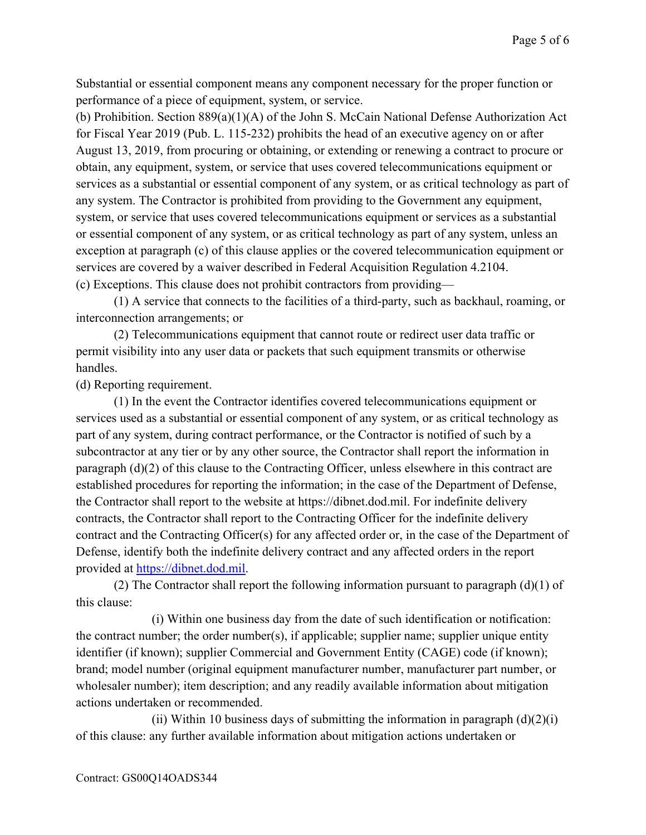Substantial or essential component means any component necessary for the proper function or performance of a piece of equipment, system, or service.

(b) Prohibition. Section 889(a)(1)(A) of the John S. McCain National Defense Authorization Act for Fiscal Year 2019 (Pub. L. 115-232) prohibits the head of an executive agency on or after August 13, 2019, from procuring or obtaining, or extending or renewing a contract to procure or obtain, any equipment, system, or service that uses covered telecommunications equipment or services as a substantial or essential component of any system, or as critical technology as part of any system. The Contractor is prohibited from providing to the Government any equipment, system, or service that uses covered telecommunications equipment or services as a substantial or essential component of any system, or as critical technology as part of any system, unless an exception at paragraph (c) of this clause applies or the covered telecommunication equipment or services are covered by a waiver described in Federal Acquisition Regulation 4.2104. (c) Exceptions. This clause does not prohibit contractors from providing—

(1) A service that connects to the facilities of a third-party, such as backhaul, roaming, or interconnection arrangements; or

(2) Telecommunications equipment that cannot route or redirect user data traffic or permit visibility into any user data or packets that such equipment transmits or otherwise handles.

(d) Reporting requirement.

(1) In the event the Contractor identifies covered telecommunications equipment or services used as a substantial or essential component of any system, or as critical technology as part of any system, during contract performance, or the Contractor is notified of such by a subcontractor at any tier or by any other source, the Contractor shall report the information in paragraph (d)(2) of this clause to the Contracting Officer, unless elsewhere in this contract are established procedures for reporting the information; in the case of the Department of Defense, the Contractor shall report to the website at https://dibnet.dod.mil. For indefinite delivery contracts, the Contractor shall report to the Contracting Officer for the indefinite delivery contract and the Contracting Officer(s) for any affected order or, in the case of the Department of Defense, identify both the indefinite delivery contract and any affected orders in the report provided at [https://dibnet.dod.mil.](https://dibnet.dod.mil/)

(2) The Contractor shall report the following information pursuant to paragraph  $(d)(1)$  of this clause:

(i) Within one business day from the date of such identification or notification: the contract number; the order number(s), if applicable; supplier name; supplier unique entity identifier (if known); supplier Commercial and Government Entity (CAGE) code (if known); brand; model number (original equipment manufacturer number, manufacturer part number, or wholesaler number); item description; and any readily available information about mitigation actions undertaken or recommended.

(ii) Within 10 business days of submitting the information in paragraph  $(d)(2)(i)$ of this clause: any further available information about mitigation actions undertaken or